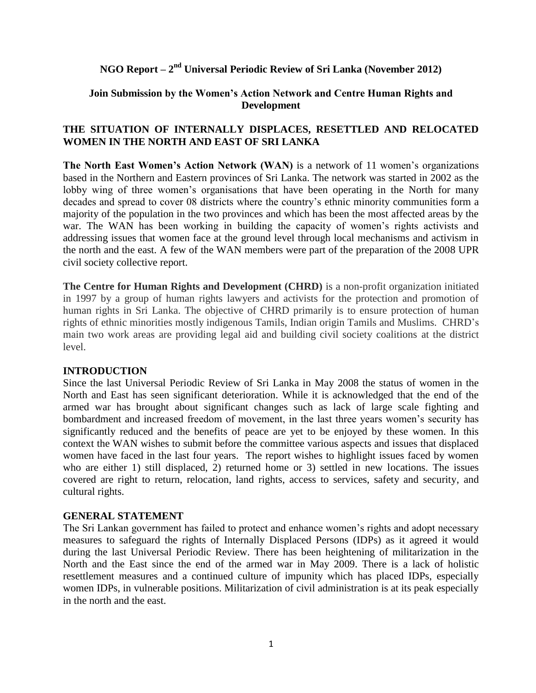# **NGO Report –**  $2^{\text{nd}}$  **Universal Periodic Review of Sri Lanka (November 2012)**

### **Join Submission by the Women's Action Network and Centre Human Rights and Development**

## **THE SITUATION OF INTERNALLY DISPLACES, RESETTLED AND RELOCATED WOMEN IN THE NORTH AND EAST OF SRI LANKA**

**The North East Women's Action Network (WAN)** is a network of 11 women's organizations based in the Northern and Eastern provinces of Sri Lanka. The network was started in 2002 as the lobby wing of three women's organisations that have been operating in the North for many decades and spread to cover 08 districts where the country"s ethnic minority communities form a majority of the population in the two provinces and which has been the most affected areas by the war. The WAN has been working in building the capacity of women's rights activists and addressing issues that women face at the ground level through local mechanisms and activism in the north and the east. A few of the WAN members were part of the preparation of the 2008 UPR civil society collective report.

**The Centre for Human Rights and Development (CHRD)** is a non-profit organization initiated in 1997 by a group of human rights lawyers and activists for the protection and promotion of human rights in Sri Lanka. The objective of CHRD primarily is to ensure protection of human rights of ethnic minorities mostly indigenous Tamils, Indian origin Tamils and Muslims. CHRD"s main two work areas are providing legal aid and building civil society coalitions at the district level.

#### **INTRODUCTION**

Since the last Universal Periodic Review of Sri Lanka in May 2008 the status of women in the North and East has seen significant deterioration. While it is acknowledged that the end of the armed war has brought about significant changes such as lack of large scale fighting and bombardment and increased freedom of movement, in the last three years women"s security has significantly reduced and the benefits of peace are yet to be enjoyed by these women. In this context the WAN wishes to submit before the committee various aspects and issues that displaced women have faced in the last four years. The report wishes to highlight issues faced by women who are either 1) still displaced, 2) returned home or 3) settled in new locations. The issues covered are right to return, relocation, land rights, access to services, safety and security, and cultural rights.

#### **GENERAL STATEMENT**

The Sri Lankan government has failed to protect and enhance women's rights and adopt necessary measures to safeguard the rights of Internally Displaced Persons (IDPs) as it agreed it would during the last Universal Periodic Review. There has been heightening of militarization in the North and the East since the end of the armed war in May 2009. There is a lack of holistic resettlement measures and a continued culture of impunity which has placed IDPs, especially women IDPs, in vulnerable positions. Militarization of civil administration is at its peak especially in the north and the east.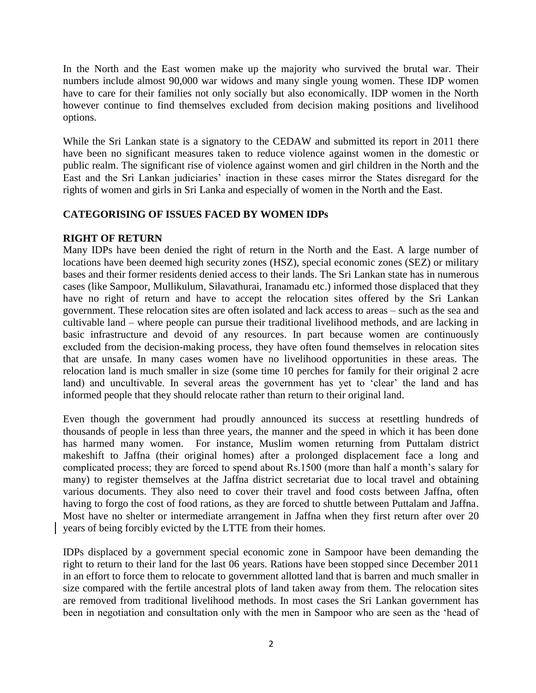In the North and the East women make up the majority who survived the brutal war. Their numbers include almost 90,000 war widows and many single young women. These IDP women have to care for their families not only socially but also economically. IDP women in the North however continue to find themselves excluded from decision making positions and livelihood options.

While the Sri Lankan state is a signatory to the CEDAW and submitted its report in 2011 there have been no significant measures taken to reduce violence against women in the domestic or public realm. The significant rise of violence against women and girl children in the North and the East and the Sri Lankan judiciaries' inaction in these cases mirror the States disregard for the rights of women and girls in Sri Lanka and especially of women in the North and the East.

## **CATEGORISING OF ISSUES FACED BY WOMEN IDPs**

## **RIGHT OF RETURN**

Many IDPs have been denied the right of return in the North and the East. A large number of locations have been deemed high security zones (HSZ), special economic zones (SEZ) or military bases and their former residents denied access to their lands. The Sri Lankan state has in numerous cases (like Sampoor, Mullikulum, Silavathurai, Iranamadu etc.) informed those displaced that they have no right of return and have to accept the relocation sites offered by the Sri Lankan government. These relocation sites are often isolated and lack access to areas – such as the sea and cultivable land – where people can pursue their traditional livelihood methods, and are lacking in basic infrastructure and devoid of any resources. In part because women are continuously excluded from the decision-making process, they have often found themselves in relocation sites that are unsafe. In many cases women have no livelihood opportunities in these areas. The relocation land is much smaller in size (some time 10 perches for family for their original 2 acre land) and uncultivable. In several areas the government has yet to 'clear' the land and has informed people that they should relocate rather than return to their original land.

Even though the government had proudly announced its success at resettling hundreds of thousands of people in less than three years, the manner and the speed in which it has been done has harmed many women. For instance, Muslim women returning from Puttalam district makeshift to Jaffna (their original homes) after a prolonged displacement face a long and complicated process; they are forced to spend about Rs.1500 (more than half a month"s salary for many) to register themselves at the Jaffna district secretariat due to local travel and obtaining various documents. They also need to cover their travel and food costs between Jaffna, often having to forgo the cost of food rations, as they are forced to shuttle between Puttalam and Jaffna. Most have no shelter or intermediate arrangement in Jaffna when they first return after over 20 years of being forcibly evicted by the LTTE from their homes.

IDPs displaced by a government special economic zone in Sampoor have been demanding the right to return to their land for the last 06 years. Rations have been stopped since December 2011 in an effort to force them to relocate to government allotted land that is barren and much smaller in size compared with the fertile ancestral plots of land taken away from them. The relocation sites are removed from traditional livelihood methods. In most cases the Sri Lankan government has been in negotiation and consultation only with the men in Sampoor who are seen as the "head of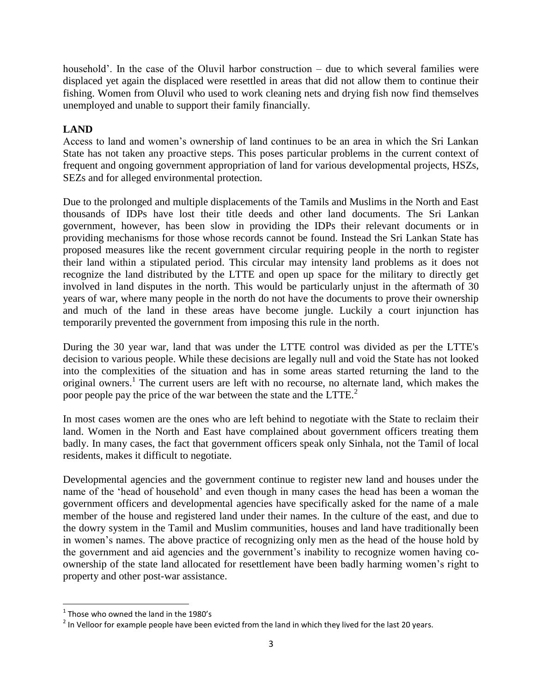household". In the case of the Oluvil harbor construction – due to which several families were displaced yet again the displaced were resettled in areas that did not allow them to continue their fishing. Women from Oluvil who used to work cleaning nets and drying fish now find themselves unemployed and unable to support their family financially.

# **LAND**

Access to land and women"s ownership of land continues to be an area in which the Sri Lankan State has not taken any proactive steps. This poses particular problems in the current context of frequent and ongoing government appropriation of land for various developmental projects, HSZs, SEZs and for alleged environmental protection.

Due to the prolonged and multiple displacements of the Tamils and Muslims in the North and East thousands of IDPs have lost their title deeds and other land documents. The Sri Lankan government, however, has been slow in providing the IDPs their relevant documents or in providing mechanisms for those whose records cannot be found. Instead the Sri Lankan State has proposed measures like the recent government circular requiring people in the north to register their land within a stipulated period. This circular may intensity land problems as it does not recognize the land distributed by the LTTE and open up space for the military to directly get involved in land disputes in the north. This would be particularly unjust in the aftermath of 30 years of war, where many people in the north do not have the documents to prove their ownership and much of the land in these areas have become jungle. Luckily a court injunction has temporarily prevented the government from imposing this rule in the north.

During the 30 year war, land that was under the LTTE control was divided as per the LTTE's decision to various people. While these decisions are legally null and void the State has not looked into the complexities of the situation and has in some areas started returning the land to the original owners.<sup>1</sup> The current users are left with no recourse, no alternate land, which makes the poor people pay the price of the war between the state and the  $LTTE<sup>2</sup>$ .

In most cases women are the ones who are left behind to negotiate with the State to reclaim their land. Women in the North and East have complained about government officers treating them badly. In many cases, the fact that government officers speak only Sinhala, not the Tamil of local residents, makes it difficult to negotiate.

Developmental agencies and the government continue to register new land and houses under the name of the "head of household" and even though in many cases the head has been a woman the government officers and developmental agencies have specifically asked for the name of a male member of the house and registered land under their names. In the culture of the east, and due to the dowry system in the Tamil and Muslim communities, houses and land have traditionally been in women"s names. The above practice of recognizing only men as the head of the house hold by the government and aid agencies and the government"s inability to recognize women having coownership of the state land allocated for resettlement have been badly harming women"s right to property and other post-war assistance.

l

 $<sup>1</sup>$  Those who owned the land in the 1980's</sup>

 $^2$  In Velloor for example people have been evicted from the land in which they lived for the last 20 years.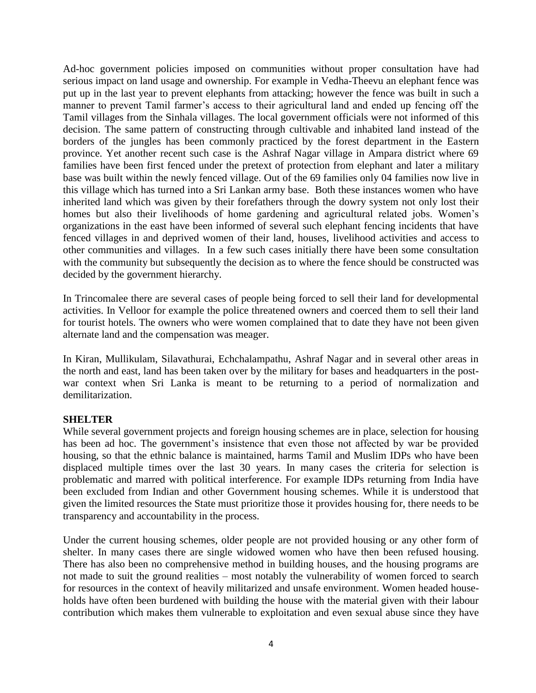Ad-hoc government policies imposed on communities without proper consultation have had serious impact on land usage and ownership. For example in Vedha-Theevu an elephant fence was put up in the last year to prevent elephants from attacking; however the fence was built in such a manner to prevent Tamil farmer's access to their agricultural land and ended up fencing off the Tamil villages from the Sinhala villages. The local government officials were not informed of this decision. The same pattern of constructing through cultivable and inhabited land instead of the borders of the jungles has been commonly practiced by the forest department in the Eastern province. Yet another recent such case is the Ashraf Nagar village in Ampara district where 69 families have been first fenced under the pretext of protection from elephant and later a military base was built within the newly fenced village. Out of the 69 families only 04 families now live in this village which has turned into a Sri Lankan army base. Both these instances women who have inherited land which was given by their forefathers through the dowry system not only lost their homes but also their livelihoods of home gardening and agricultural related jobs. Women"s organizations in the east have been informed of several such elephant fencing incidents that have fenced villages in and deprived women of their land, houses, livelihood activities and access to other communities and villages. In a few such cases initially there have been some consultation with the community but subsequently the decision as to where the fence should be constructed was decided by the government hierarchy.

In Trincomalee there are several cases of people being forced to sell their land for developmental activities. In Velloor for example the police threatened owners and coerced them to sell their land for tourist hotels. The owners who were women complained that to date they have not been given alternate land and the compensation was meager.

In Kiran, Mullikulam, Silavathurai, Echchalampathu, Ashraf Nagar and in several other areas in the north and east, land has been taken over by the military for bases and headquarters in the postwar context when Sri Lanka is meant to be returning to a period of normalization and demilitarization.

### **SHELTER**

While several government projects and foreign housing schemes are in place, selection for housing has been ad hoc. The government's insistence that even those not affected by war be provided housing, so that the ethnic balance is maintained, harms Tamil and Muslim IDPs who have been displaced multiple times over the last 30 years. In many cases the criteria for selection is problematic and marred with political interference. For example IDPs returning from India have been excluded from Indian and other Government housing schemes. While it is understood that given the limited resources the State must prioritize those it provides housing for, there needs to be transparency and accountability in the process.

Under the current housing schemes, older people are not provided housing or any other form of shelter. In many cases there are single widowed women who have then been refused housing. There has also been no comprehensive method in building houses, and the housing programs are not made to suit the ground realities – most notably the vulnerability of women forced to search for resources in the context of heavily militarized and unsafe environment. Women headed households have often been burdened with building the house with the material given with their labour contribution which makes them vulnerable to exploitation and even sexual abuse since they have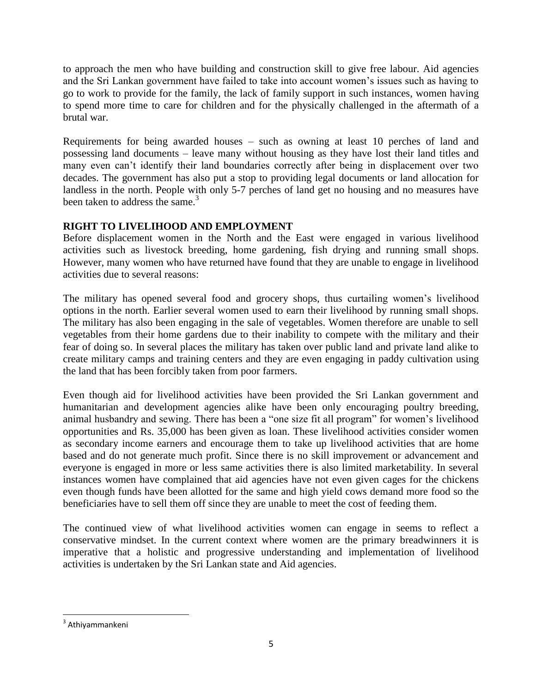to approach the men who have building and construction skill to give free labour. Aid agencies and the Sri Lankan government have failed to take into account women"s issues such as having to go to work to provide for the family, the lack of family support in such instances, women having to spend more time to care for children and for the physically challenged in the aftermath of a brutal war.

Requirements for being awarded houses – such as owning at least 10 perches of land and possessing land documents – leave many without housing as they have lost their land titles and many even can"t identify their land boundaries correctly after being in displacement over two decades. The government has also put a stop to providing legal documents or land allocation for landless in the north. People with only 5-7 perches of land get no housing and no measures have been taken to address the same. $3$ 

# **RIGHT TO LIVELIHOOD AND EMPLOYMENT**

Before displacement women in the North and the East were engaged in various livelihood activities such as livestock breeding, home gardening, fish drying and running small shops. However, many women who have returned have found that they are unable to engage in livelihood activities due to several reasons:

The military has opened several food and grocery shops, thus curtailing women"s livelihood options in the north. Earlier several women used to earn their livelihood by running small shops. The military has also been engaging in the sale of vegetables. Women therefore are unable to sell vegetables from their home gardens due to their inability to compete with the military and their fear of doing so. In several places the military has taken over public land and private land alike to create military camps and training centers and they are even engaging in paddy cultivation using the land that has been forcibly taken from poor farmers.

Even though aid for livelihood activities have been provided the Sri Lankan government and humanitarian and development agencies alike have been only encouraging poultry breeding, animal husbandry and sewing. There has been a "one size fit all program" for women"s livelihood opportunities and Rs. 35,000 has been given as loan. These livelihood activities consider women as secondary income earners and encourage them to take up livelihood activities that are home based and do not generate much profit. Since there is no skill improvement or advancement and everyone is engaged in more or less same activities there is also limited marketability. In several instances women have complained that aid agencies have not even given cages for the chickens even though funds have been allotted for the same and high yield cows demand more food so the beneficiaries have to sell them off since they are unable to meet the cost of feeding them.

The continued view of what livelihood activities women can engage in seems to reflect a conservative mindset. In the current context where women are the primary breadwinners it is imperative that a holistic and progressive understanding and implementation of livelihood activities is undertaken by the Sri Lankan state and Aid agencies.

 $\overline{\phantom{a}}$ <sup>3</sup> Athiyammankeni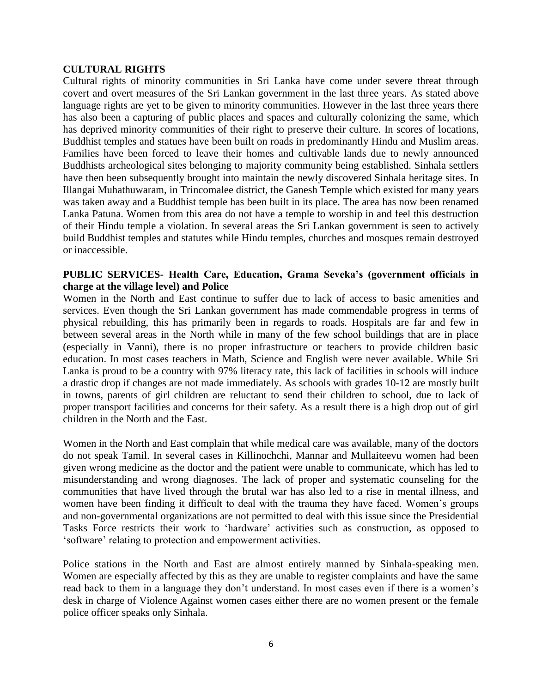#### **CULTURAL RIGHTS**

Cultural rights of minority communities in Sri Lanka have come under severe threat through covert and overt measures of the Sri Lankan government in the last three years. As stated above language rights are yet to be given to minority communities. However in the last three years there has also been a capturing of public places and spaces and culturally colonizing the same, which has deprived minority communities of their right to preserve their culture. In scores of locations, Buddhist temples and statues have been built on roads in predominantly Hindu and Muslim areas. Families have been forced to leave their homes and cultivable lands due to newly announced Buddhists archeological sites belonging to majority community being established. Sinhala settlers have then been subsequently brought into maintain the newly discovered Sinhala heritage sites. In Illangai Muhathuwaram, in Trincomalee district, the Ganesh Temple which existed for many years was taken away and a Buddhist temple has been built in its place. The area has now been renamed Lanka Patuna. Women from this area do not have a temple to worship in and feel this destruction of their Hindu temple a violation. In several areas the Sri Lankan government is seen to actively build Buddhist temples and statutes while Hindu temples, churches and mosques remain destroyed or inaccessible.

### **PUBLIC SERVICES- Health Care, Education, Grama Seveka's (government officials in charge at the village level) and Police**

Women in the North and East continue to suffer due to lack of access to basic amenities and services. Even though the Sri Lankan government has made commendable progress in terms of physical rebuilding, this has primarily been in regards to roads. Hospitals are far and few in between several areas in the North while in many of the few school buildings that are in place (especially in Vanni), there is no proper infrastructure or teachers to provide children basic education. In most cases teachers in Math, Science and English were never available. While Sri Lanka is proud to be a country with 97% literacy rate, this lack of facilities in schools will induce a drastic drop if changes are not made immediately. As schools with grades 10-12 are mostly built in towns, parents of girl children are reluctant to send their children to school, due to lack of proper transport facilities and concerns for their safety. As a result there is a high drop out of girl children in the North and the East.

Women in the North and East complain that while medical care was available, many of the doctors do not speak Tamil. In several cases in Killinochchi, Mannar and Mullaiteevu women had been given wrong medicine as the doctor and the patient were unable to communicate, which has led to misunderstanding and wrong diagnoses. The lack of proper and systematic counseling for the communities that have lived through the brutal war has also led to a rise in mental illness, and women have been finding it difficult to deal with the trauma they have faced. Women"s groups and non-governmental organizations are not permitted to deal with this issue since the Presidential Tasks Force restricts their work to "hardware" activities such as construction, as opposed to "software" relating to protection and empowerment activities.

Police stations in the North and East are almost entirely manned by Sinhala-speaking men. Women are especially affected by this as they are unable to register complaints and have the same read back to them in a language they don't understand. In most cases even if there is a women's desk in charge of Violence Against women cases either there are no women present or the female police officer speaks only Sinhala.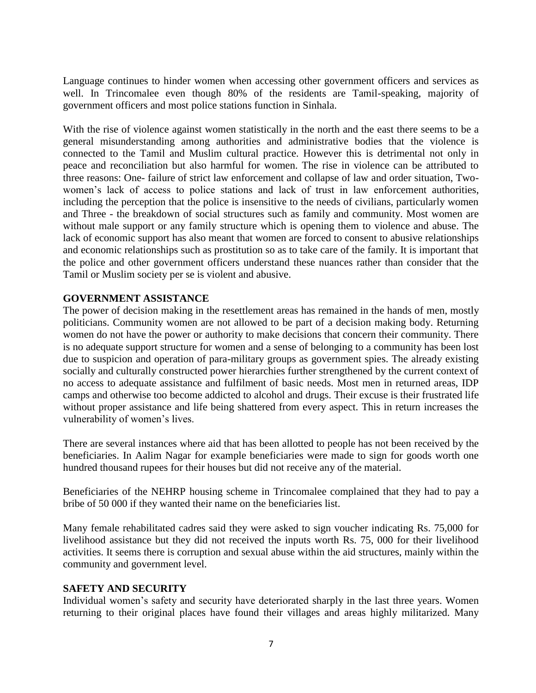Language continues to hinder women when accessing other government officers and services as well. In Trincomalee even though 80% of the residents are Tamil-speaking, majority of government officers and most police stations function in Sinhala.

With the rise of violence against women statistically in the north and the east there seems to be a general misunderstanding among authorities and administrative bodies that the violence is connected to the Tamil and Muslim cultural practice. However this is detrimental not only in peace and reconciliation but also harmful for women. The rise in violence can be attributed to three reasons: One- failure of strict law enforcement and collapse of law and order situation, Twowomen's lack of access to police stations and lack of trust in law enforcement authorities, including the perception that the police is insensitive to the needs of civilians, particularly women and Three - the breakdown of social structures such as family and community. Most women are without male support or any family structure which is opening them to violence and abuse. The lack of economic support has also meant that women are forced to consent to abusive relationships and economic relationships such as prostitution so as to take care of the family. It is important that the police and other government officers understand these nuances rather than consider that the Tamil or Muslim society per se is violent and abusive.

### **GOVERNMENT ASSISTANCE**

The power of decision making in the resettlement areas has remained in the hands of men, mostly politicians. Community women are not allowed to be part of a decision making body. Returning women do not have the power or authority to make decisions that concern their community. There is no adequate support structure for women and a sense of belonging to a community has been lost due to suspicion and operation of para-military groups as government spies. The already existing socially and culturally constructed power hierarchies further strengthened by the current context of no access to adequate assistance and fulfilment of basic needs. Most men in returned areas, IDP camps and otherwise too become addicted to alcohol and drugs. Their excuse is their frustrated life without proper assistance and life being shattered from every aspect. This in return increases the vulnerability of women's lives.

There are several instances where aid that has been allotted to people has not been received by the beneficiaries. In Aalim Nagar for example beneficiaries were made to sign for goods worth one hundred thousand rupees for their houses but did not receive any of the material.

Beneficiaries of the NEHRP housing scheme in Trincomalee complained that they had to pay a bribe of 50 000 if they wanted their name on the beneficiaries list.

Many female rehabilitated cadres said they were asked to sign voucher indicating Rs. 75,000 for livelihood assistance but they did not received the inputs worth Rs. 75, 000 for their livelihood activities. It seems there is corruption and sexual abuse within the aid structures, mainly within the community and government level.

### **SAFETY AND SECURITY**

Individual women"s safety and security have deteriorated sharply in the last three years. Women returning to their original places have found their villages and areas highly militarized. Many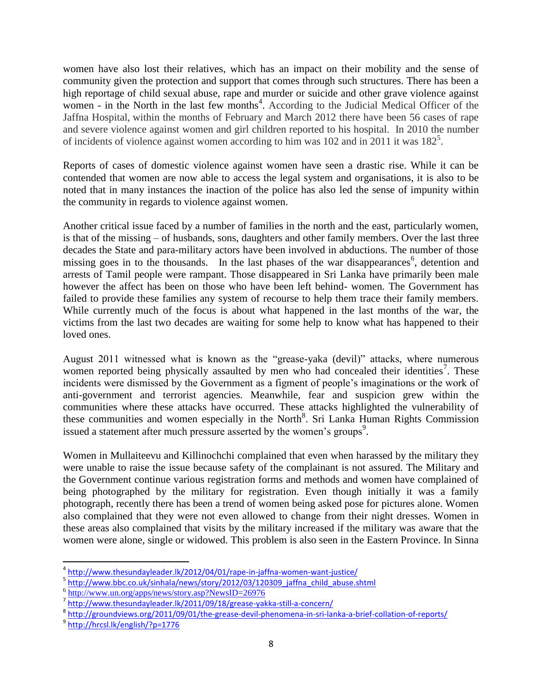women have also lost their relatives, which has an impact on their mobility and the sense of community given the protection and support that comes through such structures. There has been a high reportage of child sexual abuse, rape and murder or suicide and other grave violence against women - in the North in the last few months<sup>4</sup>. According to the Judicial Medical Officer of the Jaffna Hospital, within the months of February and March 2012 there have been 56 cases of rape and severe violence against women and girl children reported to his hospital. In 2010 the number of incidents of violence against women according to him was  $102$  and in 2011 it was  $182^5$ .

Reports of cases of domestic violence against women have seen a drastic rise. While it can be contended that women are now able to access the legal system and organisations, it is also to be noted that in many instances the inaction of the police has also led the sense of impunity within the community in regards to violence against women.

Another critical issue faced by a number of families in the north and the east, particularly women, is that of the missing – of husbands, sons, daughters and other family members. Over the last three decades the State and para-military actors have been involved in abductions. The number of those missing goes in to the thousands. In the last phases of the war disappearances<sup>6</sup>, detention and arrests of Tamil people were rampant. Those disappeared in Sri Lanka have primarily been male however the affect has been on those who have been left behind- women. The Government has failed to provide these families any system of recourse to help them trace their family members. While currently much of the focus is about what happened in the last months of the war, the victims from the last two decades are waiting for some help to know what has happened to their loved ones.

August 2011 witnessed what is known as the "grease-yaka (devil)" attacks, where numerous women reported being physically assaulted by men who had concealed their identities<sup>7</sup>. These incidents were dismissed by the Government as a figment of people"s imaginations or the work of anti-government and terrorist agencies. Meanwhile, fear and suspicion grew within the communities where these attacks have occurred. These attacks highlighted the vulnerability of these communities and women especially in the North<sup>8</sup>. Sri Lanka Human Rights Commission issued a statement after much pressure asserted by the women's groups<sup>9</sup>.

Women in Mullaiteevu and Killinochchi complained that even when harassed by the military they were unable to raise the issue because safety of the complainant is not assured. The Military and the Government continue various registration forms and methods and women have complained of being photographed by the military for registration. Even though initially it was a family photograph, recently there has been a trend of women being asked pose for pictures alone. Women also complained that they were not even allowed to change from their night dresses. Women in these areas also complained that visits by the military increased if the military was aware that the women were alone, single or widowed. This problem is also seen in the Eastern Province. In Sinna

 4 <http://www.thesundayleader.lk/2012/04/01/rape-in-jaffna-women-want-justice/>

<sup>&</sup>lt;sup>5</sup> [http://www.bbc.co.uk/sinhala/news/story/2012/03/120309\\_jaffna\\_child\\_abuse.shtml](http://www.bbc.co.uk/sinhala/news/story/2012/03/120309_jaffna_child_abuse.shtml)

<sup>&</sup>lt;sup>6</sup> <http://www.un.org/apps/news/story.asp?NewsID=26976>

<sup>7</sup> <http://www.thesundayleader.lk/2011/09/18/grease-yakka-still-a-concern/>

<sup>&</sup>lt;sup>8</sup> <http://groundviews.org/2011/09/01/the-grease-devil-phenomena-in-sri-lanka-a-brief-collation-of-reports/>

<sup>9</sup> <http://hrcsl.lk/english/?p=1776>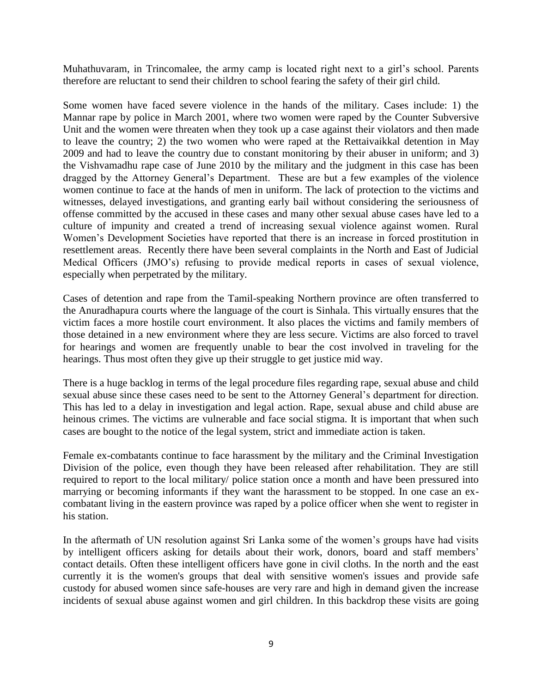Muhathuvaram, in Trincomalee, the army camp is located right next to a girl's school. Parents therefore are reluctant to send their children to school fearing the safety of their girl child.

Some women have faced severe violence in the hands of the military. Cases include: 1) the Mannar rape by police in March 2001, where two women were raped by the Counter Subversive Unit and the women were threaten when they took up a case against their violators and then made to leave the country; 2) the two women who were raped at the Rettaivaikkal detention in May 2009 and had to leave the country due to constant monitoring by their abuser in uniform; and 3) the Vishvamadhu rape case of June 2010 by the military and the judgment in this case has been dragged by the Attorney General"s Department. These are but a few examples of the violence women continue to face at the hands of men in uniform. The lack of protection to the victims and witnesses, delayed investigations, and granting early bail without considering the seriousness of offense committed by the accused in these cases and many other sexual abuse cases have led to a culture of impunity and created a trend of increasing sexual violence against women. Rural Women"s Development Societies have reported that there is an increase in forced prostitution in resettlement areas. Recently there have been several complaints in the North and East of Judicial Medical Officers (JMO"s) refusing to provide medical reports in cases of sexual violence, especially when perpetrated by the military.

Cases of detention and rape from the Tamil-speaking Northern province are often transferred to the Anuradhapura courts where the language of the court is Sinhala. This virtually ensures that the victim faces a more hostile court environment. It also places the victims and family members of those detained in a new environment where they are less secure. Victims are also forced to travel for hearings and women are frequently unable to bear the cost involved in traveling for the hearings. Thus most often they give up their struggle to get justice mid way.

There is a huge backlog in terms of the legal procedure files regarding rape, sexual abuse and child sexual abuse since these cases need to be sent to the Attorney General"s department for direction. This has led to a delay in investigation and legal action. Rape, sexual abuse and child abuse are heinous crimes. The victims are vulnerable and face social stigma. It is important that when such cases are bought to the notice of the legal system, strict and immediate action is taken.

Female ex-combatants continue to face harassment by the military and the Criminal Investigation Division of the police, even though they have been released after rehabilitation. They are still required to report to the local military/ police station once a month and have been pressured into marrying or becoming informants if they want the harassment to be stopped. In one case an excombatant living in the eastern province was raped by a police officer when she went to register in his station.

In the aftermath of UN resolution against Sri Lanka some of the women"s groups have had visits by intelligent officers asking for details about their work, donors, board and staff members' contact details. Often these intelligent officers have gone in civil cloths. In the north and the east currently it is the women's groups that deal with sensitive women's issues and provide safe custody for abused women since safe-houses are very rare and high in demand given the increase incidents of sexual abuse against women and girl children. In this backdrop these visits are going